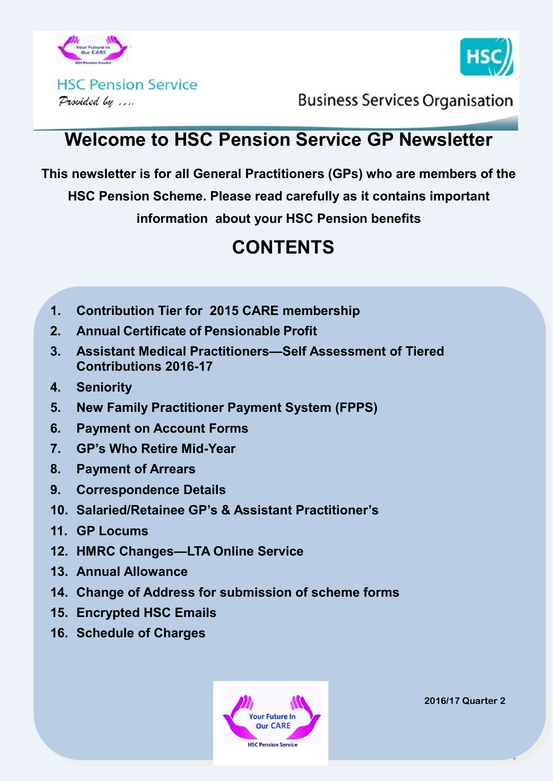



**HSC Pension Service** Provided by ....

**Business Services Organisation** 

### **Welcome to HSC Pension Service GP Newsletter**

**This newsletter is for all General Practitioners (GPs) who are members of the** 

**HSC Pension Scheme. Please read carefully as it contains important** 

**information about your HSC Pension benefits**

# **CONTENTS**

- **1. Contribution Tier for 2015 CARE membership**
- **2. Annual Certificate of Pensionable Profit**
- **3. Assistant Medical Practitioners—Self Assessment of Tiered Contributions 2016-17**
- **4. Seniority**
- **5. New Family Practitioner Payment System (FPPS)**
- **6. Payment on Account Forms**
- **7. GP's Who Retire Mid-Year**
- **8. Payment of Arrears**
- **9. Correspondence Details**
- **10. Salaried/Retainee GP's & Assistant Practitioner's**
- **11. GP Locums**
- **12. HMRC Changes—LTA Online Service**
- **13. Annual Allowance**
- **14. Change of Address for submission of scheme forms**
- **15. Encrypted HSC Emails**
- **16. Schedule of Charges**



**2016/17 Quarter 2**

1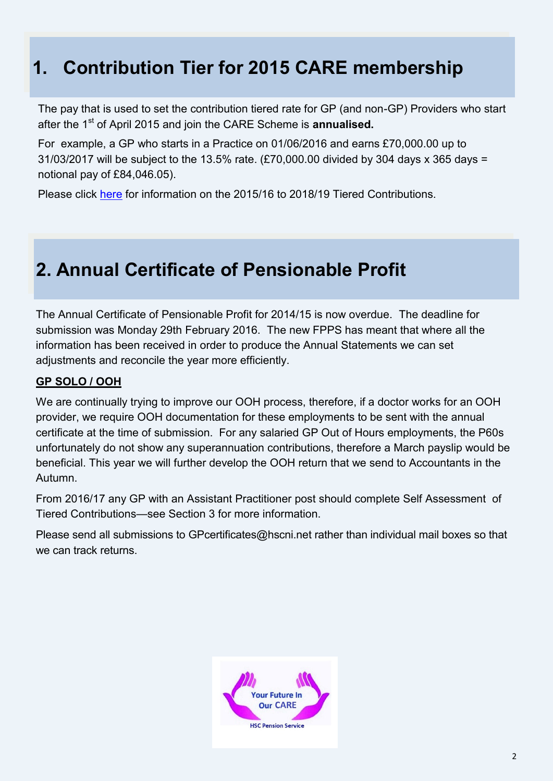### **1. Contribution Tier for 2015 CARE membership**

The pay that is used to set the contribution tiered rate for GP (and non-GP) Providers who start after the 1<sup>st</sup> of April 2015 and join the CARE Scheme is **annualised.** 

For example, a GP who starts in a Practice on 01/06/2016 and earns £70,000.00 up to 31/03/2017 will be subject to the 13.5% rate. (£70,000.00 divided by 304 days x 365 days = notional pay of £84,046.05).

Please click [here](http://www.hscpensions.hscni.net/download/Tiered-Contributions-for-Scheme-Years-2015-2016-through-to-2018-2019.pdf) for information on the 2015/16 to 2018/19 Tiered Contributions.

### **2. Annual Certificate of Pensionable Profit**

The Annual Certificate of Pensionable Profit for 2014/15 is now overdue.The deadline for submission was Monday 29th February 2016. The new FPPS has meant that where all the information has been received in order to produce the Annual Statements we can set adjustments and reconcile the year more efficiently.

#### **GP SOLO / OOH**

We are continually trying to improve our OOH process, therefore, if a doctor works for an OOH provider, we require OOH documentation for these employments to be sent with the annual certificate at the time of submission. For any salaried GP Out of Hours employments, the P60s unfortunately do not show any superannuation contributions, therefore a March payslip would be beneficial. This year we will further develop the OOH return that we send to Accountants in the Autumn.

From 2016/17 any GP with an Assistant Practitioner post should complete Self Assessment of Tiered Contributions—see Section 3 for more information.

Please send all submissions to GPcertificates@hscni.net rather than individual mail boxes so that we can track returns.

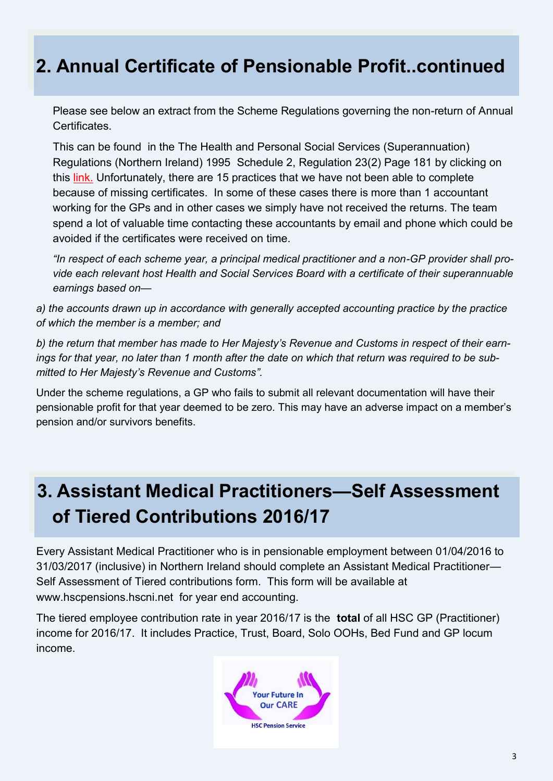### **2. Annual Certificate of Pensionable Profit..continued**

Please see below an extract from the Scheme Regulations governing the non-return of Annual **Certificates** 

This can be found in the The Health and Personal Social Services (Superannuation) Regulations (Northern Ireland) 1995 Schedule 2, Regulation 23(2) Page 181 by clicking on this [link.](http://www.hscpensions.hscni.net/wp-content/uploads/2012/11/Consolidated-Regs-1995-Section-at-1-4-2015.docx) Unfortunately, there are 15 practices that we have not been able to complete because of missing certificates. In some of these cases there is more than 1 accountant working for the GPs and in other cases we simply have not received the returns. The team spend a lot of valuable time contacting these accountants by email and phone which could be avoided if the certificates were received on time.

*"In respect of each scheme year, a principal medical practitioner and a non-GP provider shall provide each relevant host Health and Social Services Board with a certificate of their superannuable earnings based on—*

*a) the accounts drawn up in accordance with generally accepted accounting practice by the practice of which the member is a member; and* 

*b) the return that member has made to Her Majesty's Revenue and Customs in respect of their earnings for that year, no later than 1 month after the date on which that return was required to be submitted to Her Majesty's Revenue and Customs".* 

Under the scheme regulations, a GP who fails to submit all relevant documentation will have their pensionable profit for that year deemed to be zero. This may have an adverse impact on a member's pension and/or survivors benefits.

# **3. Assistant Medical Practitioners—Self Assessment of Tiered Contributions 2016/17**

Every Assistant Medical Practitioner who is in pensionable employment between 01/04/2016 to 31/03/2017 (inclusive) in Northern Ireland should complete an Assistant Medical Practitioner— Self Assessment of Tiered contributions form. This form will be available at www.hscpensions.hscni.net for year end accounting.

The tiered employee contribution rate in year 2016/17 is the **total** of all HSC GP (Practitioner) income for 2016/17. It includes Practice, Trust, Board, Solo OOHs, Bed Fund and GP locum income.

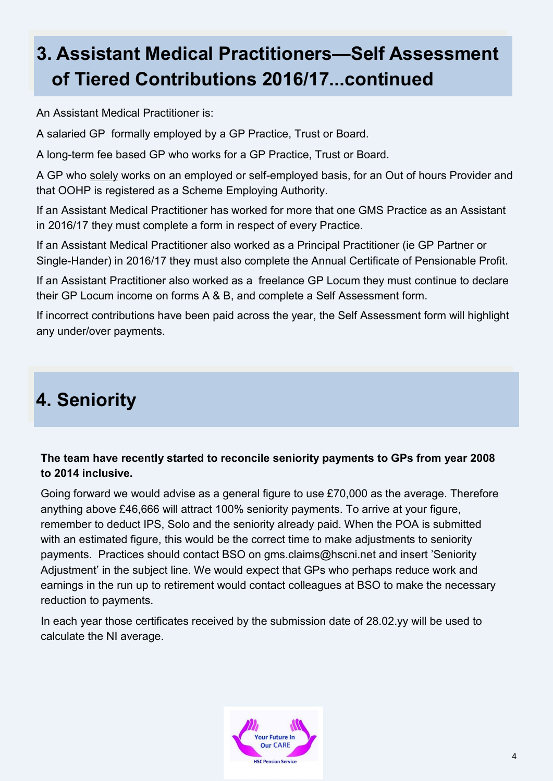# **3. Assistant Medical Practitioners—Self Assessment of Tiered Contributions 2016/17...continued**

An Assistant Medical Practitioner is:

A salaried GP formally employed by a GP Practice, Trust or Board.

A long-term fee based GP who works for a GP Practice, Trust or Board.

A GP who solely works on an employed or self-employed basis, for an Out of hours Provider and that OOHP is registered as a Scheme Employing Authority.

If an Assistant Medical Practitioner has worked for more that one GMS Practice as an Assistant in 2016/17 they must complete a form in respect of every Practice.

If an Assistant Medical Practitioner also worked as a Principal Practitioner (ie GP Partner or Single-Hander) in 2016/17 they must also complete the Annual Certificate of Pensionable Profit.

If an Assistant Practitioner also worked as a freelance GP Locum they must continue to declare their GP Locum income on forms A & B, and complete a Self Assessment form.

If incorrect contributions have been paid across the year, the Self Assessment form will highlight any under/over payments.

# **4. Seniority**

#### **The team have recently started to reconcile seniority payments to GPs from year 2008 to 2014 inclusive.**

Going forward we would advise as a general figure to use £70,000 as the average. Therefore anything above £46,666 will attract 100% seniority payments. To arrive at your figure, remember to deduct IPS, Solo and the seniority already paid. When the POA is submitted with an estimated figure, this would be the correct time to make adjustments to seniority payments. Practices should contact BSO on gms.claims@hscni.net and insert 'Seniority Adjustment' in the subject line. We would expect that GPs who perhaps reduce work and earnings in the run up to retirement would contact colleagues at BSO to make the necessary reduction to payments.

In each year those certificates received by the submission date of 28.02.yy will be used to calculate the NI average.

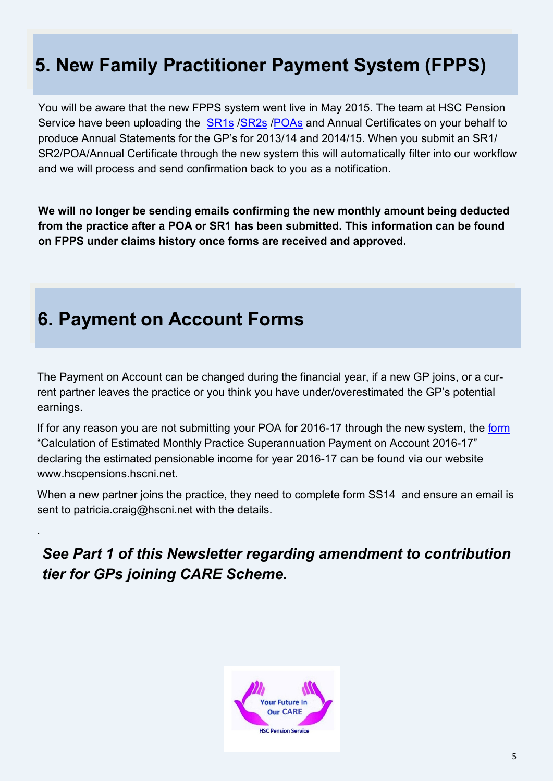# **5. New Family Practitioner Payment System (FPPS)**

You will be aware that the new FPPS system went live in May 2015. The team at HSC Pension Service have been uploading the **[SR1s](http://www.hscpensions.hscni.net/download/Practitioners/SRI-2016-17.pdf) /[SR2s](http://www.hscpensions.hscni.net/download/Practitioners/SR2-Form-for-Salaried-GPs-2016-17.pdf) /[POAs](http://www.hscpensions.hscni.net/download/Practitioners/POA-2016-171.xlsx)** and Annual Certificates on your behalf to produce Annual Statements for the GP's for 2013/14 and 2014/15. When you submit an SR1/ SR2/POA/Annual Certificate through the new system this will automatically filter into our workflow and we will process and send confirmation back to you as a notification.

**We will no longer be sending emails confirming the new monthly amount being deducted from the practice after a POA or SR1 has been submitted. This information can be found on FPPS under claims history once forms are received and approved.** 

### **6. Payment on Account Forms**

.

The Payment on Account can be changed during the financial year, if a new GP joins, or a current partner leaves the practice or you think you have under/overestimated the GP's potential earnings.

If for any reason you are not submitting your POA for 2016-17 through the new system, the [form](http://www.hscpensions.hscni.net/download/Practitioners/POA-2016-171.xlsx) "Calculation of Estimated Monthly Practice Superannuation Payment on Account 2016-17" declaring the estimated pensionable income for year 2016-17 can be found via our website www.hscpensions.hscni.net.

When a new partner joins the practice, they need to complete form SS14 and ensure an email is sent to patricia.craig@hscni.net with the details.

*See Part 1 of this Newsletter regarding amendment to contribution tier for GPs joining CARE Scheme.*

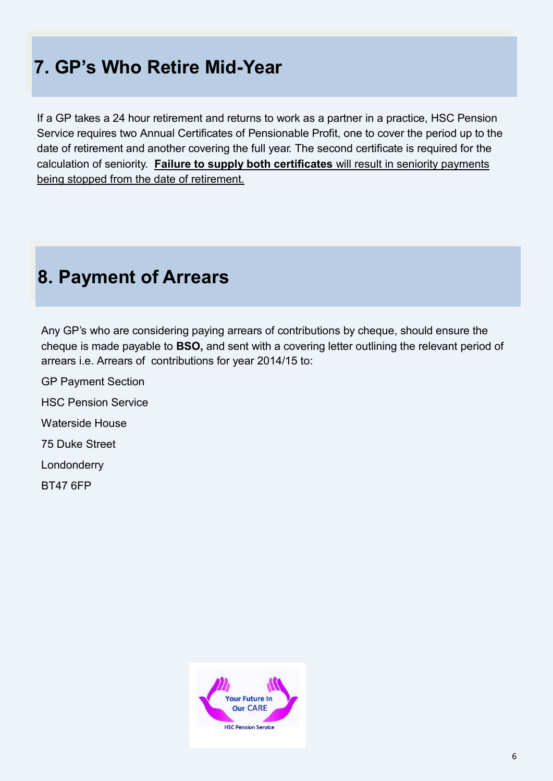# **7. GP's Who Retire Mid-Year**

If a GP takes a 24 hour retirement and returns to work as a partner in a practice, HSC Pension Service requires two Annual Certificates of Pensionable Profit, one to cover the period up to the date of retirement and another covering the full year. The second certificate is required for the calculation of seniority. **Failure to supply both certificates** will result in seniority payments being stopped from the date of retirement.

### **8. Payment of Arrears**

Any GP's who are considering paying arrears of contributions by cheque, should ensure the cheque is made payable to **BSO,** and sent with a covering letter outlining the relevant period of arrears i.e. Arrears of contributions for year 2014/15 to:

GP Payment Section HSC Pension Service Waterside House 75 Duke Street Londonderry BT47 6FP

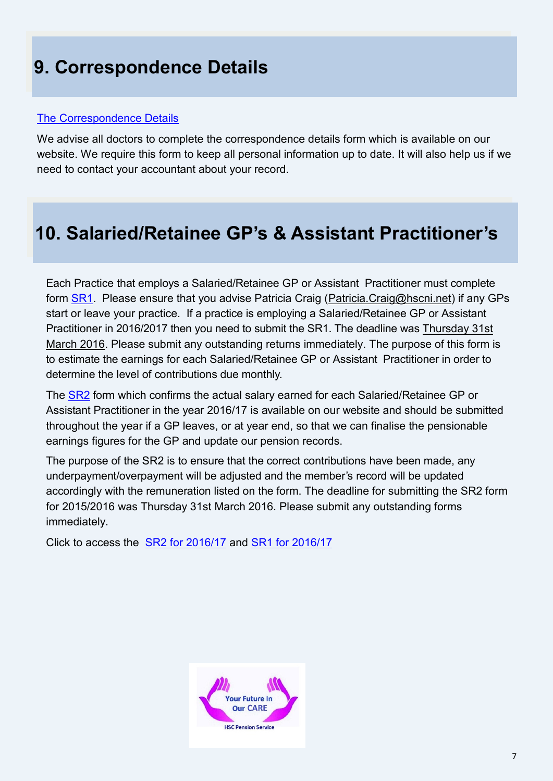### **9. Correspondence Details**

#### [The Correspondence Details](http://www.hscpensions.hscni.net/download/CORRESPONDENCE-DETAILS.docx)

We advise all doctors to complete the correspondence details form which is available on our website. We require this form to keep all personal information up to date. It will also help us if we need to contact your accountant about your record.

## **10. Salaried/Retainee GP's & Assistant Practitioner's**

Each Practice that employs a Salaried/Retainee GP or Assistant Practitioner must complete form **SR1**. Please ensure that you advise Patricia Craig ([Patricia.Craig@hscni.net\)](mailto:Patricia.Craig@hscni.net) if any GPs start or leave your practice. If a practice is employing a Salaried/Retainee GP or Assistant Practitioner in 2016/2017 then you need to submit the SR1. The deadline was Thursday 31st March 2016. Please submit any outstanding returns immediately. The purpose of this form is to estimate the earnings for each Salaried/Retainee GP or Assistant Practitioner in order to determine the level of contributions due monthly.

The **[SR2](http://www.hscpensions.hscni.net/download/Practitioners/SR2-Form-for-Salaried-GPs-2016-17.pdf)** form which confirms the actual salary earned for each Salaried/Retainee GP or Assistant Practitioner in the year 2016/17 is available on our website and should be submitted throughout the year if a GP leaves, or at year end, so that we can finalise the pensionable earnings figures for the GP and update our pension records.

The purpose of the SR2 is to ensure that the correct contributions have been made, any underpayment/overpayment will be adjusted and the member's record will be updated accordingly with the remuneration listed on the form. The deadline for submitting the SR2 form for 2015/2016 was Thursday 31st March 2016. Please submit any outstanding forms immediately.

Click to access the [SR2 for 2016/17](http://www.hscpensions.hscni.net/download/Practitioners/SR2-Form-for-Salaried-GPs-2016-17.pdf) and [SR1 for 2016/17](http://www.hscpensions.hscni.net/download/Practitioners/SRI-2016-17.pdf)

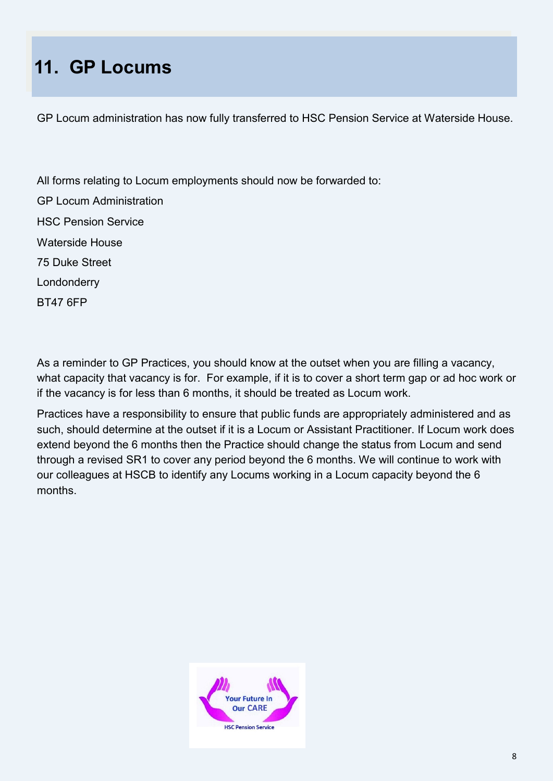# **11. GP Locums**

GP Locum administration has now fully transferred to HSC Pension Service at Waterside House.

All forms relating to Locum employments should now be forwarded to: GP Locum Administration HSC Pension Service Waterside House 75 Duke Street Londonderry BT47 6FP

As a reminder to GP Practices, you should know at the outset when you are filling a vacancy, what capacity that vacancy is for. For example, if it is to cover a short term gap or ad hoc work or if the vacancy is for less than 6 months, it should be treated as Locum work.

Practices have a responsibility to ensure that public funds are appropriately administered and as such, should determine at the outset if it is a Locum or Assistant Practitioner. If Locum work does extend beyond the 6 months then the Practice should change the status from Locum and send through a revised SR1 to cover any period beyond the 6 months. We will continue to work with our colleagues at HSCB to identify any Locums working in a Locum capacity beyond the 6 months.

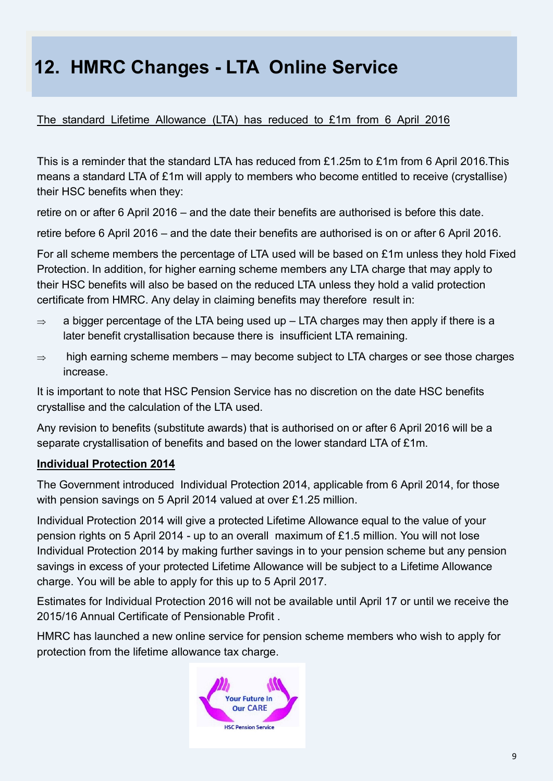# **12. HMRC Changes - LTA Online Service**

#### The standard Lifetime Allowance (LTA) has reduced to £1m from 6 April 2016

This is a reminder that the standard LTA has reduced from £1.25m to £1m from 6 April 2016.This means a standard LTA of £1m will apply to members who become entitled to receive (crystallise) their HSC benefits when they:

retire on or after 6 April 2016 – and the date their benefits are authorised is before this date.

retire before 6 April 2016 – and the date their benefits are authorised is on or after 6 April 2016.

For all scheme members the percentage of LTA used will be based on £1m unless they hold Fixed Protection. In addition, for higher earning scheme members any LTA charge that may apply to their HSC benefits will also be based on the reduced LTA unless they hold a valid protection certificate from HMRC. Any delay in claiming benefits may therefore result in:

- $\Rightarrow$  a bigger percentage of the LTA being used up LTA charges may then apply if there is a later benefit crystallisation because there is insufficient LTA remaining.
- $\Rightarrow$  high earning scheme members may become subject to LTA charges or see those charges increase.

It is important to note that HSC Pension Service has no discretion on the date HSC benefits crystallise and the calculation of the LTA used.

Any revision to benefits (substitute awards) that is authorised on or after 6 April 2016 will be a separate crystallisation of benefits and based on the lower standard LTA of £1m.

#### **Individual Protection 2014**

The Government introduced Individual Protection 2014, applicable from 6 April 2014, for those with pension savings on 5 April 2014 valued at over £1.25 million.

Individual Protection 2014 will give a protected Lifetime Allowance equal to the value of your pension rights on 5 April 2014 - up to an overall maximum of £1.5 million. You will not lose Individual Protection 2014 by making further savings in to your pension scheme but any pension savings in excess of your protected Lifetime Allowance will be subject to a Lifetime Allowance charge. You will be able to apply for this up to 5 April 2017.

Estimates for Individual Protection 2016 will not be available until April 17 or until we receive the 2015/16 Annual Certificate of Pensionable Profit .

HMRC has launched a new online service for pension scheme members who wish to apply for protection from the lifetime allowance tax charge.

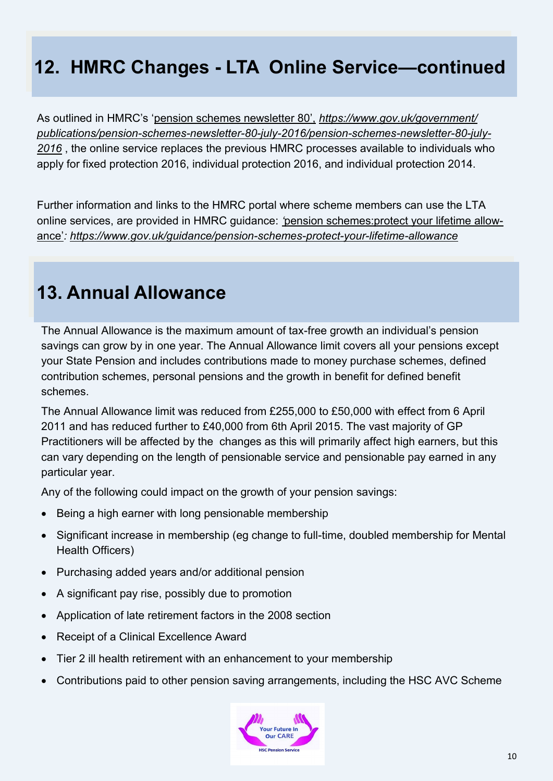# **12. HMRC Changes - LTA Online Service—continued**

As outlined in HMRC's 'pension schemes newsletter 80', *[https://www.gov.uk/government/](https://www.gov.uk/government/publications/pension-schemes-newsletter-80-july-2016/pension-schemes-newsletter-80-july-2016)* [publications/pension](https://www.gov.uk/government/publications/pension-schemes-newsletter-80-july-2016/pension-schemes-newsletter-80-july-2016)-schemes-newsletter-80-july-2016/pension-schemes-newsletter-80-july-*[2016](https://www.gov.uk/government/publications/pension-schemes-newsletter-80-july-2016/pension-schemes-newsletter-80-july-2016)* , the online service replaces the previous HMRC processes available to individuals who apply for fixed protection 2016, individual protection 2016, and individual protection 2014.

Further information and links to the HMRC portal where scheme members can use the LTA online services, are provided in HMRC guidance: *'*pension schemes:protect your lifetime allowance'*: [https://www.gov.uk/guidance/pension](https://www.gov.uk/guidance/pension-schemes-protect-your-lifetime-allowance)-schemes-protect-your-lifetime-allowance*

### **13. Annual Allowance**

The Annual Allowance is the maximum amount of tax-free growth an individual's pension savings can grow by in one year. The Annual Allowance limit covers all your pensions except your State Pension and includes contributions made to money purchase schemes, defined contribution schemes, personal pensions and the growth in benefit for defined benefit schemes.

The Annual Allowance limit was reduced from £255,000 to £50,000 with effect from 6 April 2011 and has reduced further to £40,000 from 6th April 2015. The vast majority of GP Practitioners will be affected by the changes as this will primarily affect high earners, but this can vary depending on the length of pensionable service and pensionable pay earned in any particular year.

Any of the following could impact on the growth of your pension savings:

- Being a high earner with long pensionable membership
- Significant increase in membership (eg change to full-time, doubled membership for Mental Health Officers)
- Purchasing added years and/or additional pension
- A significant pay rise, possibly due to promotion
- Application of late retirement factors in the 2008 section
- Receipt of a Clinical Excellence Award
- Tier 2 ill health retirement with an enhancement to your membership
- Contributions paid to other pension saving arrangements, including the HSC AVC Scheme

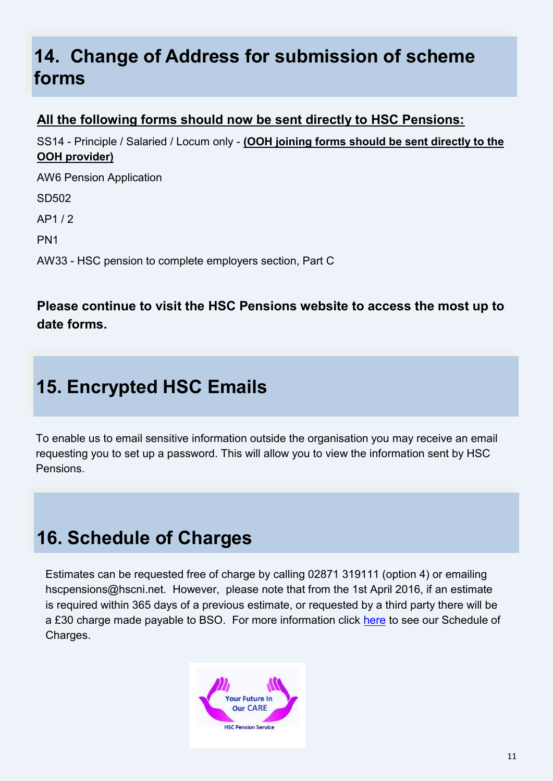### **14. Change of Address for submission of scheme forms**

### **All the following forms should now be sent directly to HSC Pensions:**

SS14 - Principle / Salaried / Locum only - **(OOH joining forms should be sent directly to the OOH provider)**

AW6 Pension Application

SD502

AP1 / 2

PN1

AW33 - HSC pension to complete employers section, Part C

### **Please continue to visit the HSC Pensions website to access the most up to date forms.**

# **15. Encrypted HSC Emails**

To enable us to email sensitive information outside the organisation you may receive an email requesting you to set up a password. This will allow you to view the information sent by HSC Pensions.

# **16. Schedule of Charges**

Estimates can be requested free of charge by calling 02871 319111 (option 4) or emailing hscpensions@hscni.net. However, please note that from the 1st April 2016, if an estimate is required within 365 days of a previous estimate, or requested by a third party there will be a £30 charge made payable to BSO. For more information click [here](http://www.hscpensions.hscni.net/download/Scheme%20Forms/employer_forms/Schedule-of-Charges-Member.pdf) to see our Schedule of Charges.